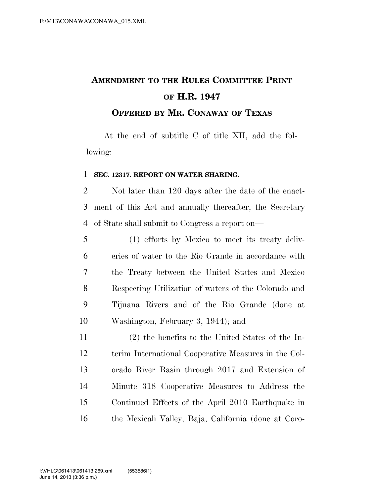## **AMENDMENT TO THE RULES COMMITTEE PRINT OF H.R. 1947 OFFERED BY MR. CONAWAY OF TEXAS**

At the end of subtitle C of title XII, add the following:

## **SEC. 12317. REPORT ON WATER SHARING.**

 Not later than 120 days after the date of the enact- ment of this Act and annually thereafter, the Secretary of State shall submit to Congress a report on—

 (1) efforts by Mexico to meet its treaty deliv- eries of water to the Rio Grande in accordance with the Treaty between the United States and Mexico Respecting Utilization of waters of the Colorado and Tijuana Rivers and of the Rio Grande (done at Washington, February 3, 1944); and

 (2) the benefits to the United States of the In- terim International Cooperative Measures in the Col- orado River Basin through 2017 and Extension of Minute 318 Cooperative Measures to Address the Continued Effects of the April 2010 Earthquake in the Mexicali Valley, Baja, California (done at Coro-